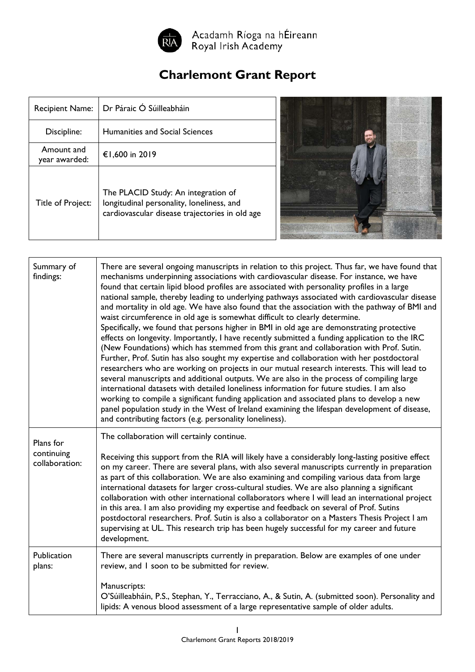

Acadamh Ríoga na hÉireann<br>Royal Irish Academy

## **Charlemont Grant Report**

| <b>Recipient Name:</b>      | Dr Páraic Ó Súilleabháin                                                                                                           |  |
|-----------------------------|------------------------------------------------------------------------------------------------------------------------------------|--|
| Discipline:                 | <b>Humanities and Social Sciences</b>                                                                                              |  |
| Amount and<br>year awarded: | €1,600 in 2019                                                                                                                     |  |
| Title of Project:           | The PLACID Study: An integration of<br>longitudinal personality, loneliness, and<br>cardiovascular disease trajectories in old age |  |



| Summary of<br>findings:                   | There are several ongoing manuscripts in relation to this project. Thus far, we have found that<br>mechanisms underpinning associations with cardiovascular disease. For instance, we have<br>found that certain lipid blood profiles are associated with personality profiles in a large<br>national sample, thereby leading to underlying pathways associated with cardiovascular disease<br>and mortality in old age. We have also found that the association with the pathway of BMI and<br>waist circumference in old age is somewhat difficult to clearly determine.<br>Specifically, we found that persons higher in BMI in old age are demonstrating protective<br>effects on longevity. Importantly, I have recently submitted a funding application to the IRC<br>(New Foundations) which has stemmed from this grant and collaboration with Prof. Sutin.<br>Further, Prof. Sutin has also sought my expertise and collaboration with her postdoctoral<br>researchers who are working on projects in our mutual research interests. This will lead to<br>several manuscripts and additional outputs. We are also in the process of compiling large<br>international datasets with detailed loneliness information for future studies. I am also<br>working to compile a significant funding application and associated plans to develop a new<br>panel population study in the West of Ireland examining the lifespan development of disease,<br>and contributing factors (e.g. personality loneliness). |
|-------------------------------------------|--------------------------------------------------------------------------------------------------------------------------------------------------------------------------------------------------------------------------------------------------------------------------------------------------------------------------------------------------------------------------------------------------------------------------------------------------------------------------------------------------------------------------------------------------------------------------------------------------------------------------------------------------------------------------------------------------------------------------------------------------------------------------------------------------------------------------------------------------------------------------------------------------------------------------------------------------------------------------------------------------------------------------------------------------------------------------------------------------------------------------------------------------------------------------------------------------------------------------------------------------------------------------------------------------------------------------------------------------------------------------------------------------------------------------------------------------------------------------------------------------------------------|
| Plans for<br>continuing<br>collaboration: | The collaboration will certainly continue.<br>Receiving this support from the RIA will likely have a considerably long-lasting positive effect<br>on my career. There are several plans, with also several manuscripts currently in preparation<br>as part of this collaboration. We are also examining and compiling various data from large<br>international datasets for larger cross-cultural studies. We are also planning a significant<br>collaboration with other international collaborators where I will lead an international project<br>in this area. I am also providing my expertise and feedback on several of Prof. Sutins<br>postdoctoral researchers. Prof. Sutin is also a collaborator on a Masters Thesis Project I am<br>supervising at UL. This research trip has been hugely successful for my career and future<br>development.                                                                                                                                                                                                                                                                                                                                                                                                                                                                                                                                                                                                                                                           |
| Publication<br>plans:                     | There are several manuscripts currently in preparation. Below are examples of one under<br>review, and I soon to be submitted for review.<br>Manuscripts:<br>O'Súilleabháin, P.S., Stephan, Y., Terracciano, A., & Sutin, A. (submitted soon). Personality and<br>lipids: A venous blood assessment of a large representative sample of older adults.                                                                                                                                                                                                                                                                                                                                                                                                                                                                                                                                                                                                                                                                                                                                                                                                                                                                                                                                                                                                                                                                                                                                                              |